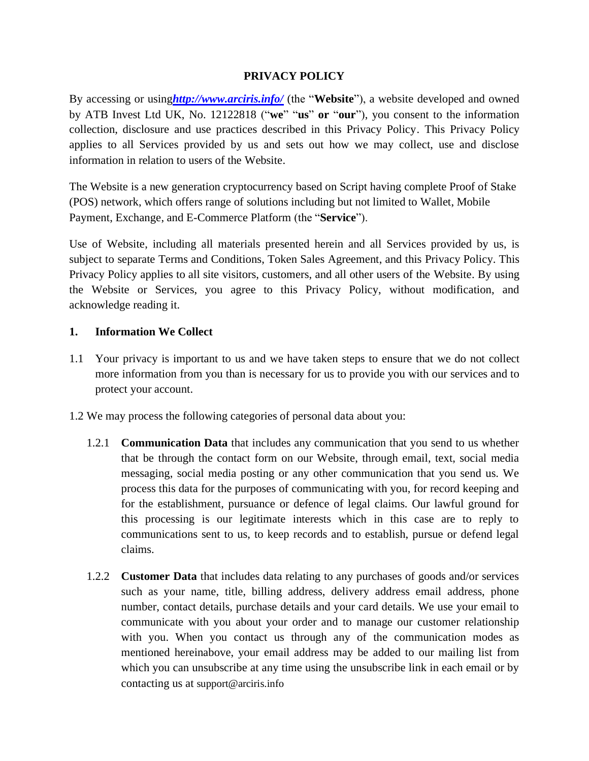### **PRIVACY POLICY**

By accessing or using*<http://www.arciris.info/>* (the "**Website**"), a website developed and owned by ATB Invest Ltd UK, No. 12122818 ("**we**" "**us**" **or** "**our**"), you consent to the information collection, disclosure and use practices described in this Privacy Policy. This Privacy Policy applies to all Services provided by us and sets out how we may collect, use and disclose information in relation to users of the Website.

The Website is a new generation cryptocurrency based on Script having complete Proof of Stake (POS) network, which offers range of solutions including but not limited to Wallet, Mobile Payment, Exchange, and E-Commerce Platform (the "**Service**").

Use of Website, including all materials presented herein and all Services provided by us, is subject to separate Terms and Conditions, Token Sales Agreement, and this Privacy Policy. This Privacy Policy applies to all site visitors, customers, and all other users of the Website. By using the Website or Services, you agree to this Privacy Policy, without modification, and acknowledge reading it.

#### **1. Information We Collect**

- 1.1 Your privacy is important to us and we have taken steps to ensure that we do not collect more information from you than is necessary for us to provide you with our services and to protect your account.
- 1.2 We may process the following categories of personal data about you:
	- 1.2.1 **Communication Data** that includes any communication that you send to us whether that be through the contact form on our Website, through email, text, social media messaging, social media posting or any other communication that you send us. We process this data for the purposes of communicating with you, for record keeping and for the establishment, pursuance or defence of legal claims. Our lawful ground for this processing is our legitimate interests which in this case are to reply to communications sent to us, to keep records and to establish, pursue or defend legal claims.
	- 1.2.2 **Customer Data** that includes data relating to any purchases of goods and/or services such as your name, title, billing address, delivery address email address, phone number, contact details, purchase details and your card details. We use your email to communicate with you about your order and to manage our customer relationship with you. When you contact us through any of the communication modes as mentioned hereinabove, your email address may be added to our mailing list from which you can unsubscribe at any time using the unsubscribe link in each email or by contacting us at support@arciris.info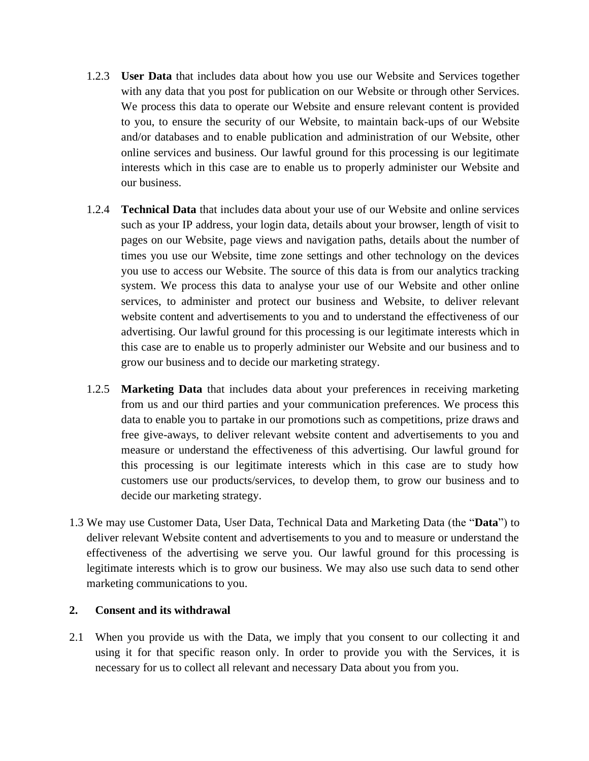- 1.2.3 **User Data** that includes data about how you use our Website and Services together with any data that you post for publication on our Website or through other Services. We process this data to operate our Website and ensure relevant content is provided to you, to ensure the security of our Website, to maintain back-ups of our Website and/or databases and to enable publication and administration of our Website, other online services and business. Our lawful ground for this processing is our legitimate interests which in this case are to enable us to properly administer our Website and our business.
- 1.2.4 **Technical Data** that includes data about your use of our Website and online services such as your IP address, your login data, details about your browser, length of visit to pages on our Website, page views and navigation paths, details about the number of times you use our Website, time zone settings and other technology on the devices you use to access our Website. The source of this data is from our analytics tracking system. We process this data to analyse your use of our Website and other online services, to administer and protect our business and Website, to deliver relevant website content and advertisements to you and to understand the effectiveness of our advertising. Our lawful ground for this processing is our legitimate interests which in this case are to enable us to properly administer our Website and our business and to grow our business and to decide our marketing strategy.
- 1.2.5 **Marketing Data** that includes data about your preferences in receiving marketing from us and our third parties and your communication preferences. We process this data to enable you to partake in our promotions such as competitions, prize draws and free give-aways, to deliver relevant website content and advertisements to you and measure or understand the effectiveness of this advertising. Our lawful ground for this processing is our legitimate interests which in this case are to study how customers use our products/services, to develop them, to grow our business and to decide our marketing strategy.
- 1.3 We may use Customer Data, User Data, Technical Data and Marketing Data (the "**Data**") to deliver relevant Website content and advertisements to you and to measure or understand the effectiveness of the advertising we serve you. Our lawful ground for this processing is legitimate interests which is to grow our business. We may also use such data to send other marketing communications to you.

## **2. Consent and its withdrawal**

2.1 When you provide us with the Data, we imply that you consent to our collecting it and using it for that specific reason only. In order to provide you with the Services, it is necessary for us to collect all relevant and necessary Data about you from you.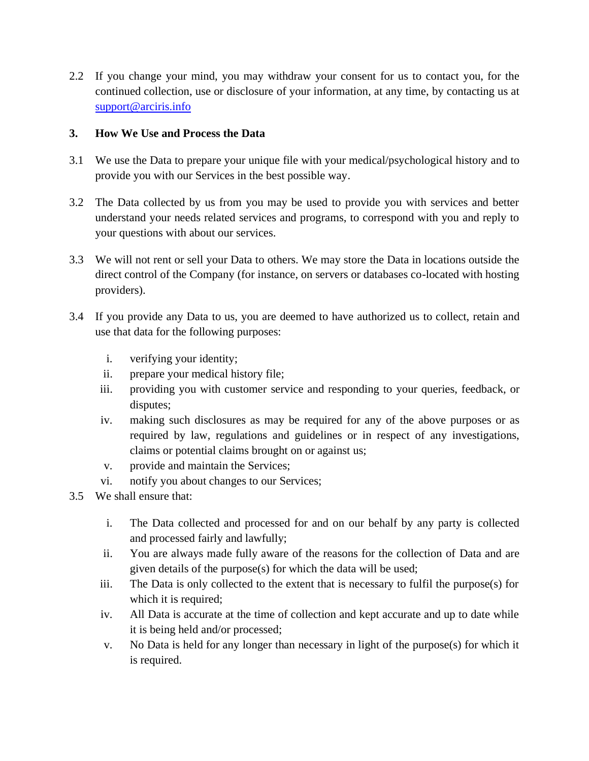2.2 If you change your mind, you may withdraw your consent for us to contact you, for the continued collection, use or disclosure of your information, at any time, by contacting us at [support@arciris.info](mailto:support@arciris.info)

## **3. How We Use and Process the Data**

- 3.1 We use the Data to prepare your unique file with your medical/psychological history and to provide you with our Services in the best possible way.
- 3.2 The Data collected by us from you may be used to provide you with services and better understand your needs related services and programs, to correspond with you and reply to your questions with about our services.
- 3.3 We will not rent or sell your Data to others. We may store the Data in locations outside the direct control of the Company (for instance, on servers or databases co-located with hosting providers).
- 3.4 If you provide any Data to us, you are deemed to have authorized us to collect, retain and use that data for the following purposes:
	- i. verifying your identity;
	- ii. prepare your medical history file;
	- iii. providing you with customer service and responding to your queries, feedback, or disputes;
	- iv. making such disclosures as may be required for any of the above purposes or as required by law, regulations and guidelines or in respect of any investigations, claims or potential claims brought on or against us;
	- v. provide and maintain the Services;
	- vi. notify you about changes to our Services;
- 3.5 We shall ensure that:
	- i. The Data collected and processed for and on our behalf by any party is collected and processed fairly and lawfully;
	- ii. You are always made fully aware of the reasons for the collection of Data and are given details of the purpose(s) for which the data will be used;
	- iii. The Data is only collected to the extent that is necessary to fulfil the purpose(s) for which it is required;
	- iv. All Data is accurate at the time of collection and kept accurate and up to date while it is being held and/or processed;
	- v. No Data is held for any longer than necessary in light of the purpose(s) for which it is required.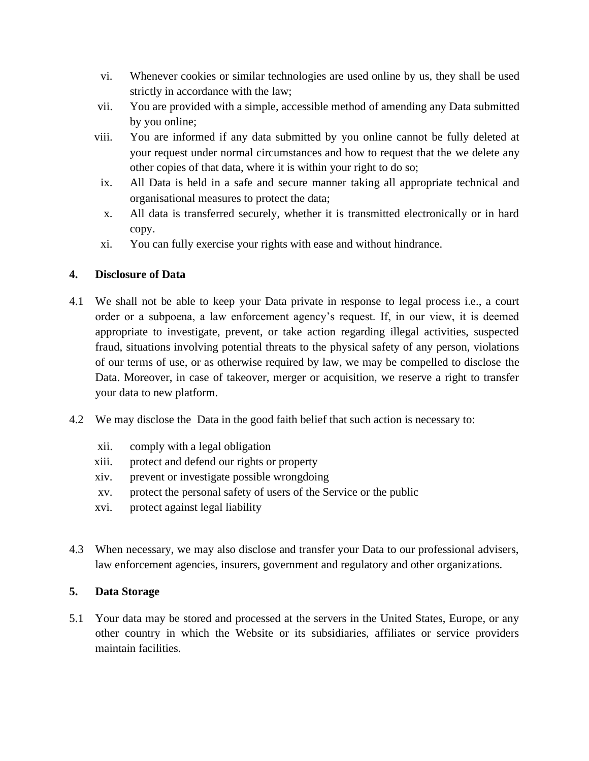- vi. Whenever cookies or similar technologies are used online by us, they shall be used strictly in accordance with the law;
- vii. You are provided with a simple, accessible method of amending any Data submitted by you online;
- viii. You are informed if any data submitted by you online cannot be fully deleted at your request under normal circumstances and how to request that the we delete any other copies of that data, where it is within your right to do so;
	- ix. All Data is held in a safe and secure manner taking all appropriate technical and organisational measures to protect the data;
	- x. All data is transferred securely, whether it is transmitted electronically or in hard copy.
	- xi. You can fully exercise your rights with ease and without hindrance.

## **4. Disclosure of Data**

- 4.1 We shall not be able to keep your Data private in response to legal process i.e., a court order or a subpoena, a law enforcement agency's request. If, in our view, it is deemed appropriate to investigate, prevent, or take action regarding illegal activities, suspected fraud, situations involving potential threats to the physical safety of any person, violations of our terms of use, or as otherwise required by law, we may be compelled to disclose the Data. Moreover, in case of takeover, merger or acquisition, we reserve a right to transfer your data to new platform.
- 4.2 We may disclose the Data in the good faith belief that such action is necessary to:
	- xii. comply with a legal obligation
	- xiii. protect and defend our rights or property
	- xiv. prevent or investigate possible wrongdoing
	- xv. protect the personal safety of users of the Service or the public
	- xvi. protect against legal liability
- 4.3 When necessary, we may also disclose and transfer your Data to our professional advisers, law enforcement agencies, insurers, government and regulatory and other organizations.

## **5. Data Storage**

5.1 Your data may be stored and processed at the servers in the United States, Europe, or any other country in which the Website or its subsidiaries, affiliates or service providers maintain facilities.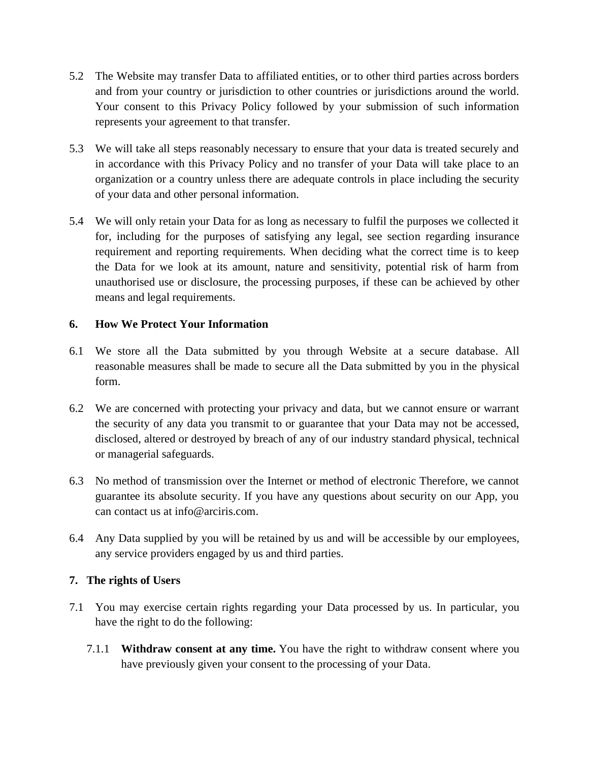- 5.2 The Website may transfer Data to affiliated entities, or to other third parties across borders and from your country or jurisdiction to other countries or jurisdictions around the world. Your consent to this Privacy Policy followed by your submission of such information represents your agreement to that transfer.
- 5.3 We will take all steps reasonably necessary to ensure that your data is treated securely and in accordance with this Privacy Policy and no transfer of your Data will take place to an organization or a country unless there are adequate controls in place including the security of your data and other personal information.
- 5.4 We will only retain your Data for as long as necessary to fulfil the purposes we collected it for, including for the purposes of satisfying any legal, see section regarding insurance requirement and reporting requirements. When deciding what the correct time is to keep the Data for we look at its amount, nature and sensitivity, potential risk of harm from unauthorised use or disclosure, the processing purposes, if these can be achieved by other means and legal requirements.

## **6. How We Protect Your Information**

- 6.1 We store all the Data submitted by you through Website at a secure database. All reasonable measures shall be made to secure all the Data submitted by you in the physical form.
- 6.2 We are concerned with protecting your privacy and data, but we cannot ensure or warrant the security of any data you transmit to or guarantee that your Data may not be accessed, disclosed, altered or destroyed by breach of any of our industry standard physical, technical or managerial safeguards.
- 6.3 No method of transmission over the Internet or method of electronic Therefore, we cannot guarantee its absolute security. If you have any questions about security on our App, you can contact us at info@arciris.com.
- 6.4 Any Data supplied by you will be retained by us and will be accessible by our employees, any service providers engaged by us and third parties.

## **7. The rights of Users**

- 7.1 You may exercise certain rights regarding your Data processed by us. In particular, you have the right to do the following:
	- 7.1.1 **Withdraw consent at any time.** You have the right to withdraw consent where you have previously given your consent to the processing of your Data.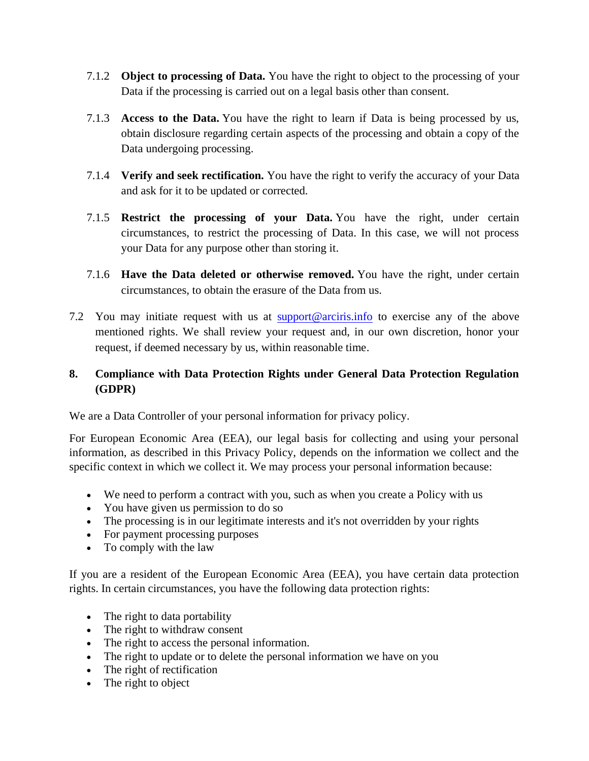- 7.1.2 **Object to processing of Data.** You have the right to object to the processing of your Data if the processing is carried out on a legal basis other than consent.
- 7.1.3 **Access to the Data.** You have the right to learn if Data is being processed by us, obtain disclosure regarding certain aspects of the processing and obtain a copy of the Data undergoing processing.
- 7.1.4 **Verify and seek rectification.** You have the right to verify the accuracy of your Data and ask for it to be updated or corrected.
- 7.1.5 **Restrict the processing of your Data.** You have the right, under certain circumstances, to restrict the processing of Data. In this case, we will not process your Data for any purpose other than storing it.
- 7.1.6 **Have the Data deleted or otherwise removed.** You have the right, under certain circumstances, to obtain the erasure of the Data from us.
- 7.2 You may initiate request with us at  $\frac{\text{support@arciris.info}}{\text{approximfo}}$  $\frac{\text{support@arciris.info}}{\text{approximfo}}$  $\frac{\text{support@arciris.info}}{\text{approximfo}}$  to exercise any of the above mentioned rights. We shall review your request and, in our own discretion, honor your request, if deemed necessary by us, within reasonable time.

# **8. Compliance with Data Protection Rights under General Data Protection Regulation (GDPR)**

We are a Data Controller of your personal information for privacy policy.

For European Economic Area (EEA), our legal basis for collecting and using your personal information, as described in this Privacy Policy, depends on the information we collect and the specific context in which we collect it. We may process your personal information because:

- We need to perform a contract with you, such as when you create a Policy with us
- You have given us permission to do so
- The processing is in our legitimate interests and it's not overridden by your rights
- For payment processing purposes
- To comply with the law

If you are a resident of the European Economic Area (EEA), you have certain data protection rights. In certain circumstances, you have the following data protection rights:

- The right to data portability
- The right to withdraw consent
- The right to access the personal information.
- The right to update or to delete the personal information we have on you
- The right of rectification
- The right to object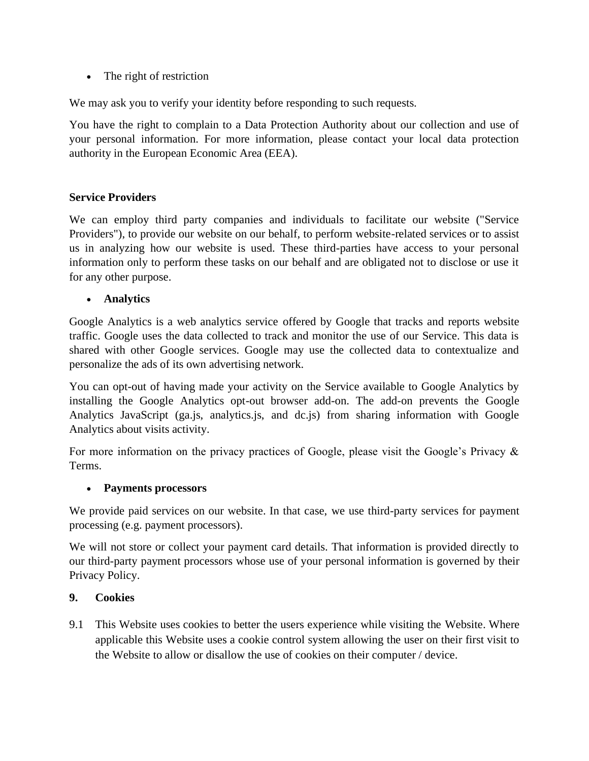• The right of restriction

We may ask you to verify your identity before responding to such requests.

You have the right to complain to a Data Protection Authority about our collection and use of your personal information. For more information, please contact your local data protection authority in the European Economic Area (EEA).

## **Service Providers**

We can employ third party companies and individuals to facilitate our website ("Service Providers"), to provide our website on our behalf, to perform website-related services or to assist us in analyzing how our website is used. These third-parties have access to your personal information only to perform these tasks on our behalf and are obligated not to disclose or use it for any other purpose.

• **Analytics**

Google Analytics is a web analytics service offered by Google that tracks and reports website traffic. Google uses the data collected to track and monitor the use of our Service. This data is shared with other Google services. Google may use the collected data to contextualize and personalize the ads of its own advertising network.

You can opt-out of having made your activity on the Service available to Google Analytics by installing the Google Analytics opt-out browser add-on. The add-on prevents the Google Analytics JavaScript (ga.js, analytics.js, and dc.js) from sharing information with Google Analytics about visits activity.

For more information on the privacy practices of Google, please visit the Google's Privacy & Terms.

## • **Payments processors**

We provide paid services on our website. In that case, we use third-party services for payment processing (e.g. payment processors).

We will not store or collect your payment card details. That information is provided directly to our third-party payment processors whose use of your personal information is governed by their Privacy Policy.

## **9. Cookies**

9.1 This Website uses cookies to better the users experience while visiting the Website. Where applicable this Website uses a cookie control system allowing the user on their first visit to the Website to allow or disallow the use of cookies on their computer / device.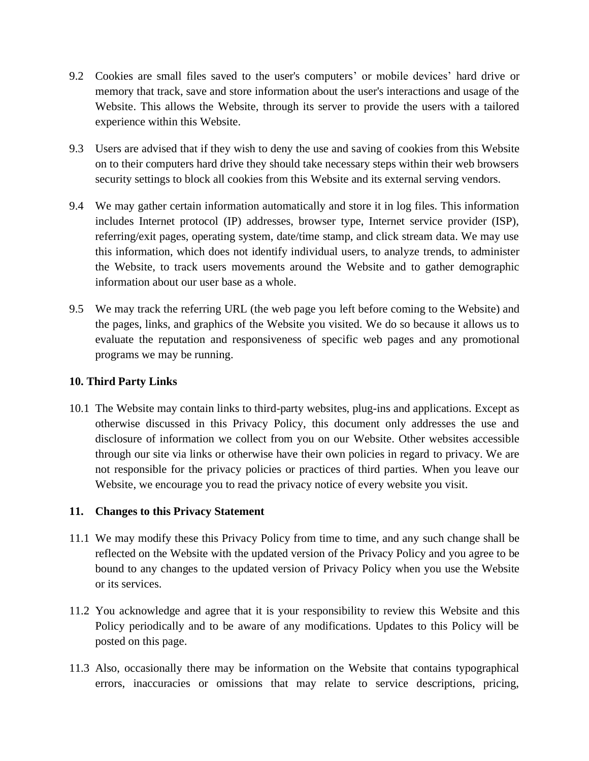- 9.2 Cookies are small files saved to the user's computers' or mobile devices' hard drive or memory that track, save and store information about the user's interactions and usage of the Website. This allows the Website, through its server to provide the users with a tailored experience within this Website.
- 9.3 Users are advised that if they wish to deny the use and saving of cookies from this Website on to their computers hard drive they should take necessary steps within their web browsers security settings to block all cookies from this Website and its external serving vendors.
- 9.4 We may gather certain information automatically and store it in log files. This information includes Internet protocol (IP) addresses, browser type, Internet service provider (ISP), referring/exit pages, operating system, date/time stamp, and click stream data. We may use this information, which does not identify individual users, to analyze trends, to administer the Website, to track users movements around the Website and to gather demographic information about our user base as a whole.
- 9.5 We may track the referring URL (the web page you left before coming to the Website) and the pages, links, and graphics of the Website you visited. We do so because it allows us to evaluate the reputation and responsiveness of specific web pages and any promotional programs we may be running.

### **10. Third Party Links**

10.1 The Website may contain links to third-party websites, plug-ins and applications. Except as otherwise discussed in this Privacy Policy, this document only addresses the use and disclosure of information we collect from you on our Website. Other websites accessible through our site via links or otherwise have their own policies in regard to privacy. We are not responsible for the privacy policies or practices of third parties. When you leave our Website, we encourage you to read the privacy notice of every website you visit.

#### **11. Changes to this Privacy Statement**

- 11.1 We may modify these this Privacy Policy from time to time, and any such change shall be reflected on the Website with the updated version of the Privacy Policy and you agree to be bound to any changes to the updated version of Privacy Policy when you use the Website or its services.
- 11.2 You acknowledge and agree that it is your responsibility to review this Website and this Policy periodically and to be aware of any modifications. Updates to this Policy will be posted on this page.
- 11.3 Also, occasionally there may be information on the Website that contains typographical errors, inaccuracies or omissions that may relate to service descriptions, pricing,